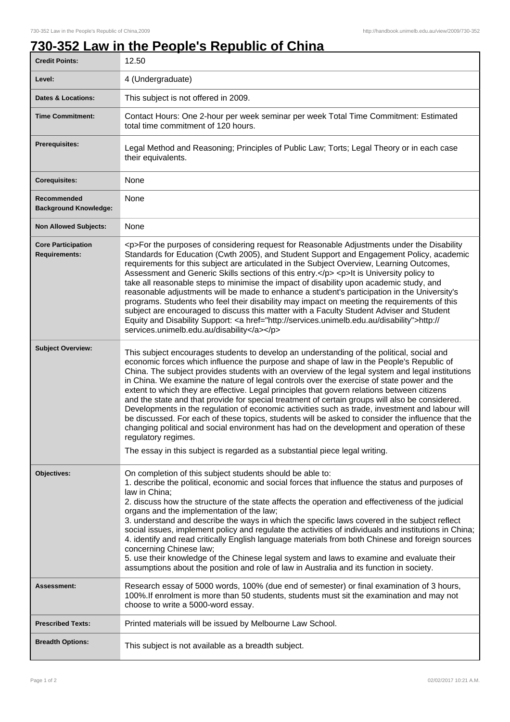## **730-352 Law in the People's Republic of China**

| <b>Credit Points:</b>                             | 12.50                                                                                                                                                                                                                                                                                                                                                                                                                                                                                                                                                                                                                                                                                                                                                                                                                                                                                                                                                                                                  |
|---------------------------------------------------|--------------------------------------------------------------------------------------------------------------------------------------------------------------------------------------------------------------------------------------------------------------------------------------------------------------------------------------------------------------------------------------------------------------------------------------------------------------------------------------------------------------------------------------------------------------------------------------------------------------------------------------------------------------------------------------------------------------------------------------------------------------------------------------------------------------------------------------------------------------------------------------------------------------------------------------------------------------------------------------------------------|
| Level:                                            | 4 (Undergraduate)                                                                                                                                                                                                                                                                                                                                                                                                                                                                                                                                                                                                                                                                                                                                                                                                                                                                                                                                                                                      |
| <b>Dates &amp; Locations:</b>                     | This subject is not offered in 2009.                                                                                                                                                                                                                                                                                                                                                                                                                                                                                                                                                                                                                                                                                                                                                                                                                                                                                                                                                                   |
| <b>Time Commitment:</b>                           | Contact Hours: One 2-hour per week seminar per week Total Time Commitment: Estimated<br>total time commitment of 120 hours.                                                                                                                                                                                                                                                                                                                                                                                                                                                                                                                                                                                                                                                                                                                                                                                                                                                                            |
| Prerequisites:                                    | Legal Method and Reasoning; Principles of Public Law; Torts; Legal Theory or in each case<br>their equivalents.                                                                                                                                                                                                                                                                                                                                                                                                                                                                                                                                                                                                                                                                                                                                                                                                                                                                                        |
| <b>Corequisites:</b>                              | None                                                                                                                                                                                                                                                                                                                                                                                                                                                                                                                                                                                                                                                                                                                                                                                                                                                                                                                                                                                                   |
| Recommended<br><b>Background Knowledge:</b>       | None                                                                                                                                                                                                                                                                                                                                                                                                                                                                                                                                                                                                                                                                                                                                                                                                                                                                                                                                                                                                   |
| <b>Non Allowed Subjects:</b>                      | None                                                                                                                                                                                                                                                                                                                                                                                                                                                                                                                                                                                                                                                                                                                                                                                                                                                                                                                                                                                                   |
| <b>Core Participation</b><br><b>Requirements:</b> | <p>For the purposes of considering request for Reasonable Adjustments under the Disability<br/>Standards for Education (Cwth 2005), and Student Support and Engagement Policy, academic<br/>requirements for this subject are articulated in the Subject Overview, Learning Outcomes,<br/>Assessment and Generic Skills sections of this entry.</p> <p>lt is University policy to<br/>take all reasonable steps to minimise the impact of disability upon academic study, and<br/>reasonable adjustments will be made to enhance a student's participation in the University's<br/>programs. Students who feel their disability may impact on meeting the requirements of this<br/>subject are encouraged to discuss this matter with a Faculty Student Adviser and Student<br/>Equity and Disability Support: &lt; a href="http://services.unimelb.edu.au/disability"&gt;http://<br/>services.unimelb.edu.au/disability</p>                                                                           |
| <b>Subject Overview:</b>                          | This subject encourages students to develop an understanding of the political, social and<br>economic forces which influence the purpose and shape of law in the People's Republic of<br>China. The subject provides students with an overview of the legal system and legal institutions<br>in China. We examine the nature of legal controls over the exercise of state power and the<br>extent to which they are effective. Legal principles that govern relations between citizens<br>and the state and that provide for special treatment of certain groups will also be considered.<br>Developments in the regulation of economic activities such as trade, investment and labour will<br>be discussed. For each of these topics, students will be asked to consider the influence that the<br>changing political and social environment has had on the development and operation of these<br>regulatory regimes.<br>The essay in this subject is regarded as a substantial piece legal writing. |
| Objectives:                                       | On completion of this subject students should be able to:<br>1. describe the political, economic and social forces that influence the status and purposes of<br>law in China;<br>2. discuss how the structure of the state affects the operation and effectiveness of the judicial<br>organs and the implementation of the law;<br>3. understand and describe the ways in which the specific laws covered in the subject reflect<br>social issues, implement policy and regulate the activities of individuals and institutions in China;<br>4. identify and read critically English language materials from both Chinese and foreign sources<br>concerning Chinese law;<br>5. use their knowledge of the Chinese legal system and laws to examine and evaluate their<br>assumptions about the position and role of law in Australia and its function in society.                                                                                                                                      |
| <b>Assessment:</b>                                | Research essay of 5000 words, 100% (due end of semester) or final examination of 3 hours,<br>100%. If enrolment is more than 50 students, students must sit the examination and may not<br>choose to write a 5000-word essay.                                                                                                                                                                                                                                                                                                                                                                                                                                                                                                                                                                                                                                                                                                                                                                          |
| <b>Prescribed Texts:</b>                          | Printed materials will be issued by Melbourne Law School.                                                                                                                                                                                                                                                                                                                                                                                                                                                                                                                                                                                                                                                                                                                                                                                                                                                                                                                                              |
| <b>Breadth Options:</b>                           | This subject is not available as a breadth subject.                                                                                                                                                                                                                                                                                                                                                                                                                                                                                                                                                                                                                                                                                                                                                                                                                                                                                                                                                    |